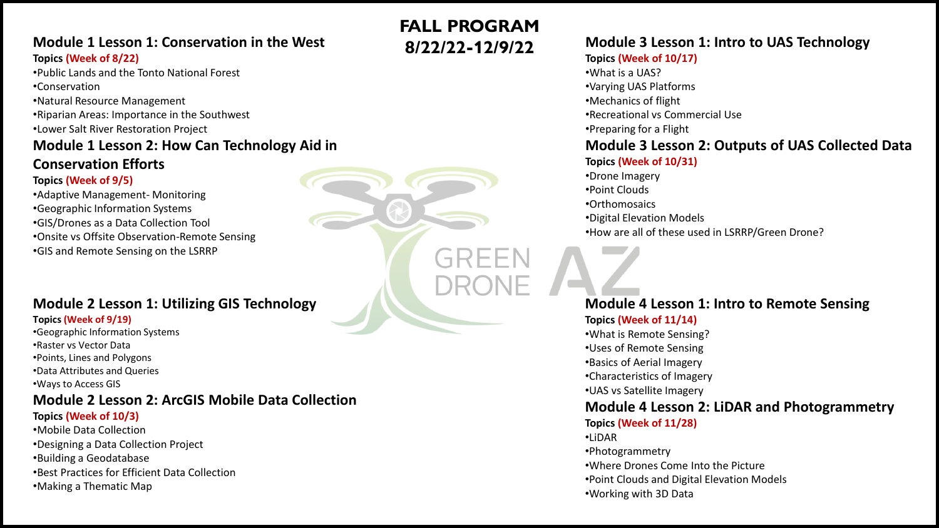## **Module 1 Lesson 1: Conservation in the West**

#### **Topics (Week of 8/22)**

•Public Lands and the Tonto National Forest •Conservation

- •Natural Resource Management
- •Riparian Areas: Importance in the Southwest
- •Lower Salt River Restoration Project

## **Module 1 Lesson 2: How Can Technology Aid in**

## **Conservation Efforts**

#### **Topics (Week of 9/5)**

•Adaptive Management- Monitoring •Geographic Information Systems •GIS/Drones as a Data Collection Tool •Onsite vs Offsite Observation-Remote Sensing •GIS and Remote Sensing on the LSRRP

## **Module 2 Lesson 1: Utilizing GIS Technology**

#### **Topics (Week of 9/19)**

•Geographic Information Systems •Raster vs Vector Data •Points, Lines and Polygons •Data Attributes and Queries •Ways to Access GIS

# **Module 2 Lesson 2: ArcGIS Mobile Data Collection**

### **Topics (Week of 10/3)**

- •Mobile Data Collection •Designing a Data Collection Project •Building a Geodatabase •Best Practices for Efficient Data Collection
- •Making a Thematic Map

**FALL PROGRAM 8/22/22-12/9/22**

# **Module 3 Lesson 1: Intro to UAS Technology**

### **Topics (Week of 10/17)**

•What is a UAS? •Varying UAS Platforms •Mechanics of flight •Recreational vs Commercial Use •Preparing for a Flight **Module 3 Lesson 2: Outputs of UAS Collected Data**

### **Topics (Week of 10/31)**

•Drone Imagery •Point Clouds •Orthomosaics •Digital Elevation Models •How are all of these used in LSRRP/Green Drone?

#### **Module 4 Lesson 1: Intro to Remote Sensing Topics (Week of 11/14)** •What is Remote Sensing? •Uses of Remote Sensing •Basics of Aerial Imagery

•Characteristics of Imagery •UAS vs Satellite Imagery **Module 4 Lesson 2: LiDAR and Photogrammetry Topics (Week of 11/28)** •LiDAR •Photogrammetry •Where Drones Come Into the Picture

- •Point Clouds and Digital Elevation Models
- •Working with 3D Data